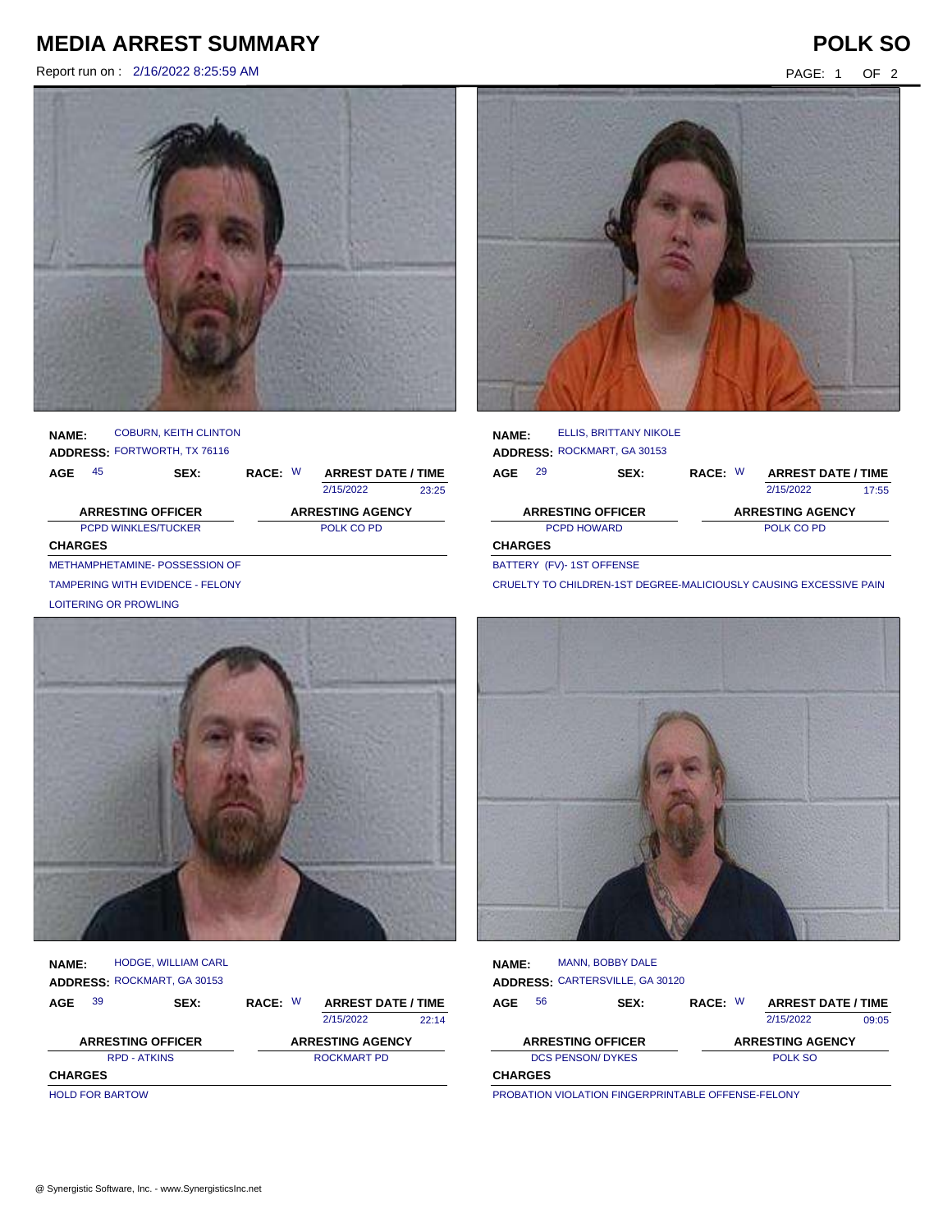# **MEDIA ARREST SUMMARY POLK SO**

Report run on : 2/16/2022 8:25:59 AM PAGE: 1 OF 2





#### **NAME: ADDRESS:** FORTWORTH, TX 76116 COBURN, KEITH CLINTON

| AGE                        | 45                            | SEX: | RACE: W | <b>ARREST DATE / TIME</b> |       |
|----------------------------|-------------------------------|------|---------|---------------------------|-------|
|                            |                               |      |         | 2/15/2022                 | 23:25 |
|                            | <b>ARRESTING OFFICER</b>      |      |         | <b>ARRESTING AGENCY</b>   |       |
| <b>PCPD WINKLES/TUCKER</b> |                               |      |         | POLK CO PD                |       |
| <b>CHARGES</b>             |                               |      |         |                           |       |
|                            | METHAMPHETAMINE-POSSESSION OF |      |         |                           |       |

TAMPERING WITH EVIDENCE - FELONY

LOITERING OR PROWLING



| <b>NAME:</b>        | <b>HODGE, WILLIAM CARL</b><br>ADDRESS: ROCKMART, GA 30153 |             |                           |       |
|---------------------|-----------------------------------------------------------|-------------|---------------------------|-------|
| 39<br><b>AGE</b>    | SEX:                                                      | RACE: W     | <b>ARREST DATE / TIME</b> |       |
|                     |                                                           |             | 2/15/2022                 | 22.14 |
|                     | <b>ARRESTING OFFICER</b>                                  |             | <b>ARRESTING AGENCY</b>   |       |
| <b>RPD - ATKINS</b> |                                                           | ROCKMART PD |                           |       |
| <b>CHARGES</b>      |                                                           |             |                           |       |

HOLD FOR BARTOW



| <b>NAME:</b>       |    | <b>ELLIS. BRITTANY NIKOLE</b> |         |  |                           |       |  |  |
|--------------------|----|-------------------------------|---------|--|---------------------------|-------|--|--|
|                    |    | ADDRESS: ROCKMART, GA 30153   |         |  |                           |       |  |  |
| AGE                | 29 | SEX:                          | RACE: W |  | <b>ARREST DATE / TIME</b> |       |  |  |
|                    |    |                               |         |  | 2/15/2022                 | 17:55 |  |  |
|                    |    | <b>ARRESTING OFFICER</b>      |         |  | <b>ARRESTING AGENCY</b>   |       |  |  |
| <b>PCPD HOWARD</b> |    |                               |         |  | POLK CO PD                |       |  |  |
| <b>CHARGES</b>     |    |                               |         |  |                           |       |  |  |
|                    |    |                               |         |  |                           |       |  |  |

BATTERY (FV)- 1ST OFFENSE

CRUELTY TO CHILDREN-1ST DEGREE-MALICIOUSLY CAUSING EXCESSIVE PAIN



| <b>NAME:</b>   |    | <b>MANN, BOBBY DALE</b>         |         |                           |       |
|----------------|----|---------------------------------|---------|---------------------------|-------|
|                |    | ADDRESS: CARTERSVILLE, GA 30120 |         |                           |       |
| <b>AGE</b>     | 56 | SEX:                            | RACE: W | <b>ARREST DATE / TIME</b> |       |
|                |    |                                 |         | 2/15/2022                 | 09:05 |
|                |    | <b>ARRESTING OFFICER</b>        |         | <b>ARRESTING AGENCY</b>   |       |
|                |    | <b>DCS PENSON/ DYKES</b>        |         | POLK SO                   |       |
| <b>CHARGES</b> |    |                                 |         |                           |       |

PROBATION VIOLATION FINGERPRINTABLE OFFENSE-FELONY